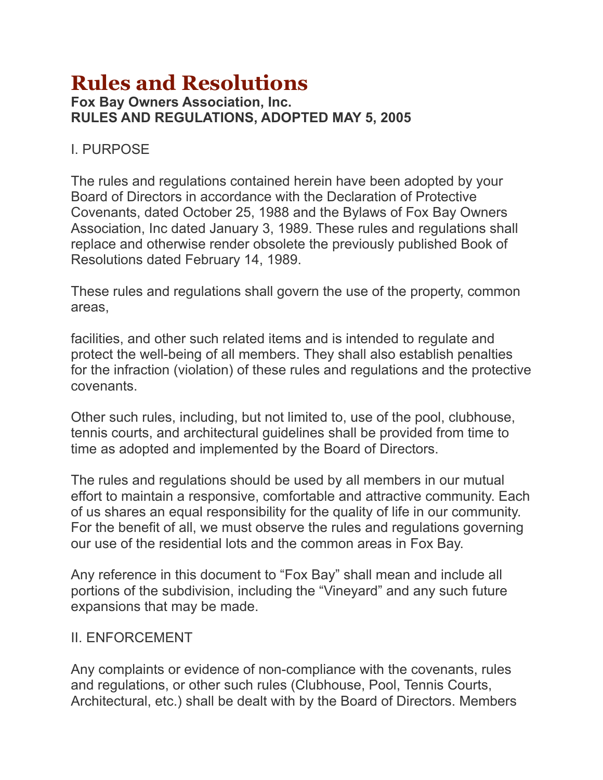# **Rules and Resolutions Fox Bay Owners Association, Inc. RULES AND REGULATIONS, ADOPTED MAY 5, 2005**

#### I. PURPOSE

The rules and regulations contained herein have been adopted by your Board of Directors in accordance with the Declaration of Protective Covenants, dated October 25, 1988 and the Bylaws of Fox Bay Owners Association, Inc dated January 3, 1989. These rules and regulations shall replace and otherwise render obsolete the previously published Book of Resolutions dated February 14, 1989.

These rules and regulations shall govern the use of the property, common areas,

facilities, and other such related items and is intended to regulate and protect the well-being of all members. They shall also establish penalties for the infraction (violation) of these rules and regulations and the protective covenants.

Other such rules, including, but not limited to, use of the pool, clubhouse, tennis courts, and architectural guidelines shall be provided from time to time as adopted and implemented by the Board of Directors.

The rules and regulations should be used by all members in our mutual effort to maintain a responsive, comfortable and attractive community. Each of us shares an equal responsibility for the quality of life in our community. For the benefit of all, we must observe the rules and regulations governing our use of the residential lots and the common areas in Fox Bay.

Any reference in this document to "Fox Bay" shall mean and include all portions of the subdivision, including the "Vineyard" and any such future expansions that may be made.

#### II. ENFORCEMENT

Any complaints or evidence of non-compliance with the covenants, rules and regulations, or other such rules (Clubhouse, Pool, Tennis Courts, Architectural, etc.) shall be dealt with by the Board of Directors. Members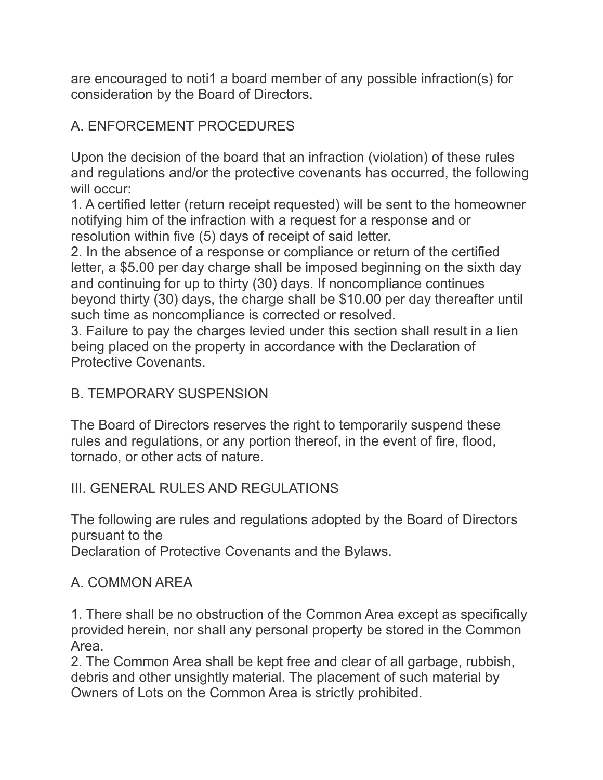are encouraged to noti1 a board member of any possible infraction(s) for consideration by the Board of Directors.

# A. ENFORCEMENT PROCEDURES

Upon the decision of the board that an infraction (violation) of these rules and regulations and/or the protective covenants has occurred, the following will occur:

1. A certified letter (return receipt requested) will be sent to the homeowner notifying him of the infraction with a request for a response and or resolution within five (5) days of receipt of said letter.

2. In the absence of a response or compliance or return of the certified letter, a \$5.00 per day charge shall be imposed beginning on the sixth day and continuing for up to thirty (30) days. If noncompliance continues beyond thirty (30) days, the charge shall be \$10.00 per day thereafter until such time as noncompliance is corrected or resolved.

3. Failure to pay the charges levied under this section shall result in a lien being placed on the property in accordance with the Declaration of Protective Covenants.

#### B. TEMPORARY SUSPENSION

The Board of Directors reserves the right to temporarily suspend these rules and regulations, or any portion thereof, in the event of fire, flood, tornado, or other acts of nature.

#### III. GENERAL RULES AND REGULATIONS

The following are rules and regulations adopted by the Board of Directors pursuant to the

Declaration of Protective Covenants and the Bylaws.

#### A. COMMON AREA

1. There shall be no obstruction of the Common Area except as specifically provided herein, nor shall any personal property be stored in the Common Area.

2. The Common Area shall be kept free and clear of all garbage, rubbish, debris and other unsightly material. The placement of such material by Owners of Lots on the Common Area is strictly prohibited.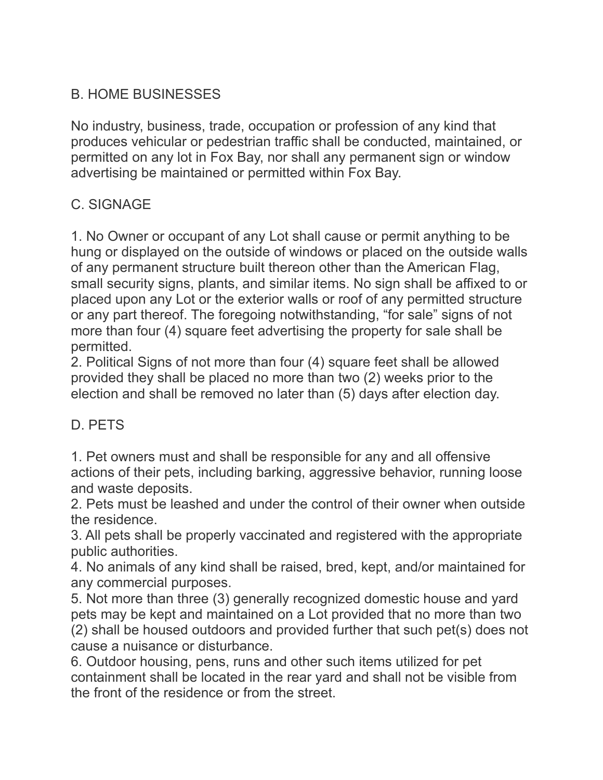## B. HOME BUSINESSES

No industry, business, trade, occupation or profession of any kind that produces vehicular or pedestrian traffic shall be conducted, maintained, or permitted on any lot in Fox Bay, nor shall any permanent sign or window advertising be maintained or permitted within Fox Bay.

## C. SIGNAGE

1. No Owner or occupant of any Lot shall cause or permit anything to be hung or displayed on the outside of windows or placed on the outside walls of any permanent structure built thereon other than the American Flag, small security signs, plants, and similar items. No sign shall be affixed to or placed upon any Lot or the exterior walls or roof of any permitted structure or any part thereof. The foregoing notwithstanding, "for sale" signs of not more than four (4) square feet advertising the property for sale shall be permitted.

2. Political Signs of not more than four (4) square feet shall be allowed provided they shall be placed no more than two (2) weeks prior to the election and shall be removed no later than (5) days after election day.

#### D. PETS

1. Pet owners must and shall be responsible for any and all offensive actions of their pets, including barking, aggressive behavior, running loose and waste deposits.

2. Pets must be leashed and under the control of their owner when outside the residence.

3. All pets shall be properly vaccinated and registered with the appropriate public authorities.

4. No animals of any kind shall be raised, bred, kept, and/or maintained for any commercial purposes.

5. Not more than three (3) generally recognized domestic house and yard pets may be kept and maintained on a Lot provided that no more than two (2) shall be housed outdoors and provided further that such pet(s) does not cause a nuisance or disturbance.

6. Outdoor housing, pens, runs and other such items utilized for pet containment shall be located in the rear yard and shall not be visible from the front of the residence or from the street.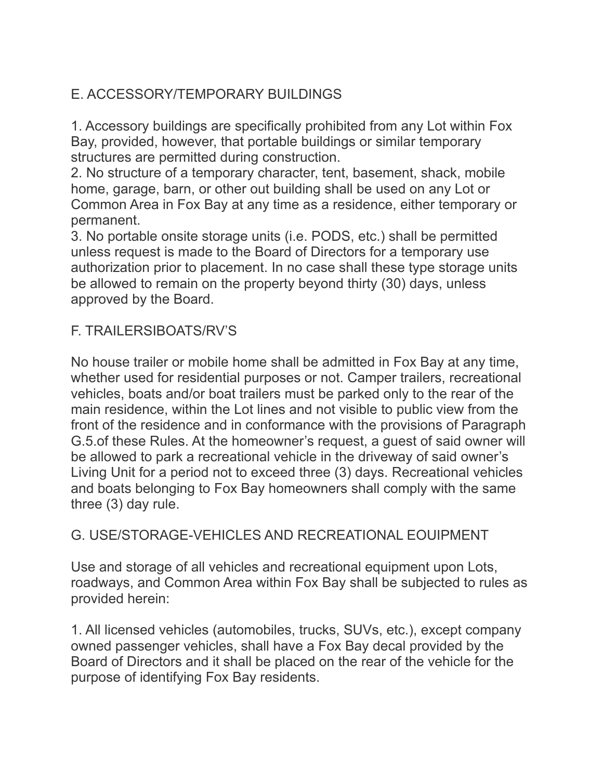## E. ACCESSORY/TEMPORARY BUILDINGS

1. Accessory buildings are specifically prohibited from any Lot within Fox Bay, provided, however, that portable buildings or similar temporary structures are permitted during construction.

2. No structure of a temporary character, tent, basement, shack, mobile home, garage, barn, or other out building shall be used on any Lot or Common Area in Fox Bay at any time as a residence, either temporary or permanent.

3. No portable onsite storage units (i.e. PODS, etc.) shall be permitted unless request is made to the Board of Directors for a temporary use authorization prior to placement. In no case shall these type storage units be allowed to remain on the property beyond thirty (30) days, unless approved by the Board.

### F. TRAILERSIBOATS/RV'S

No house trailer or mobile home shall be admitted in Fox Bay at any time, whether used for residential purposes or not. Camper trailers, recreational vehicles, boats and/or boat trailers must be parked only to the rear of the main residence, within the Lot lines and not visible to public view from the front of the residence and in conformance with the provisions of Paragraph G.5.of these Rules. At the homeowner's request, a guest of said owner will be allowed to park a recreational vehicle in the driveway of said owner's Living Unit for a period not to exceed three (3) days. Recreational vehicles and boats belonging to Fox Bay homeowners shall comply with the same three (3) day rule.

### G. USE/STORAGE-VEHICLES AND RECREATIONAL FOUIPMENT

Use and storage of all vehicles and recreational equipment upon Lots, roadways, and Common Area within Fox Bay shall be subjected to rules as provided herein:

1. All licensed vehicles (automobiles, trucks, SUVs, etc.), except company owned passenger vehicles, shall have a Fox Bay decal provided by the Board of Directors and it shall be placed on the rear of the vehicle for the purpose of identifying Fox Bay residents.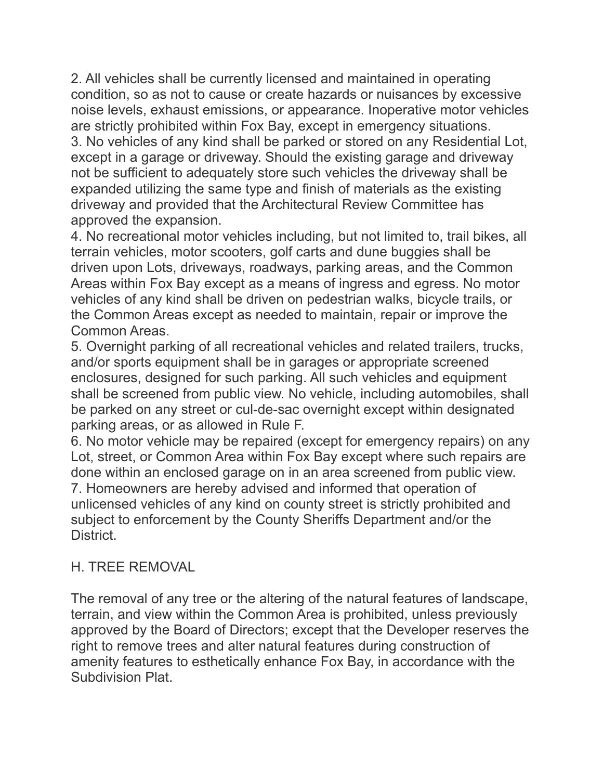2. All vehicles shall be currently licensed and maintained in operating condition, so as not to cause or create hazards or nuisances by excessive noise levels, exhaust emissions, or appearance. Inoperative motor vehicles are strictly prohibited within Fox Bay, except in emergency situations. 3. No vehicles of any kind shall be parked or stored on any Residential Lot, except in a garage or driveway. Should the existing garage and driveway not be sufficient to adequately store such vehicles the driveway shall be expanded utilizing the same type and finish of materials as the existing driveway and provided that the Architectural Review Committee has

approved the expansion.

4. No recreational motor vehicles including, but not limited to, trail bikes, all terrain vehicles, motor scooters, golf carts and dune buggies shall be driven upon Lots, driveways, roadways, parking areas, and the Common Areas within Fox Bay except as a means of ingress and egress. No motor vehicles of any kind shall be driven on pedestrian walks, bicycle trails, or the Common Areas except as needed to maintain, repair or improve the Common Areas.

5. Overnight parking of all recreational vehicles and related trailers, trucks, and/or sports equipment shall be in garages or appropriate screened enclosures, designed for such parking. All such vehicles and equipment shall be screened from public view. No vehicle, including automobiles, shall be parked on any street or cul-de-sac overnight except within designated parking areas, or as allowed in Rule F.

6. No motor vehicle may be repaired (except for emergency repairs) on any Lot, street, or Common Area within Fox Bay except where such repairs are done within an enclosed garage on in an area screened from public view. 7. Homeowners are hereby advised and informed that operation of unlicensed vehicles of any kind on county street is strictly prohibited and subject to enforcement by the County Sheriffs Department and/or the District.

#### H. TREE REMOVAL

The removal of any tree or the altering of the natural features of landscape, terrain, and view within the Common Area is prohibited, unless previously approved by the Board of Directors; except that the Developer reserves the right to remove trees and alter natural features during construction of amenity features to esthetically enhance Fox Bay, in accordance with the Subdivision Plat.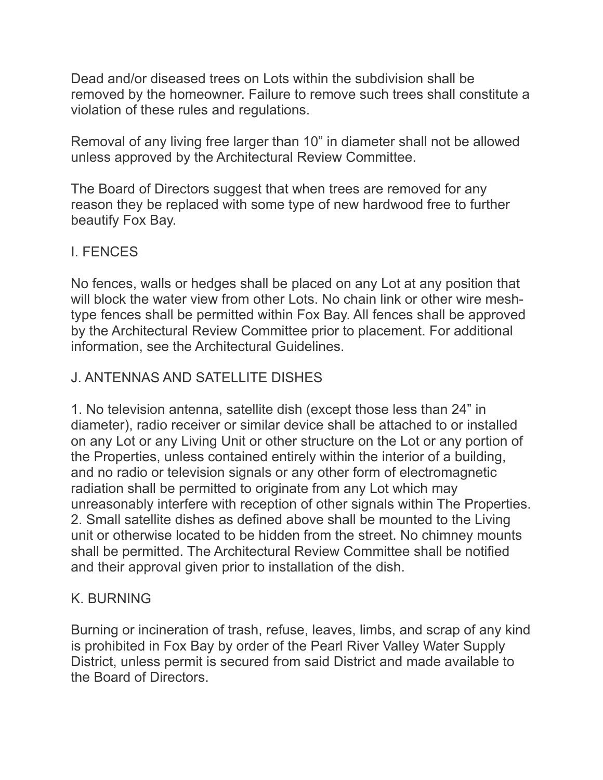Dead and/or diseased trees on Lots within the subdivision shall be removed by the homeowner. Failure to remove such trees shall constitute a violation of these rules and regulations.

Removal of any living free larger than 10" in diameter shall not be allowed unless approved by the Architectural Review Committee.

The Board of Directors suggest that when trees are removed for any reason they be replaced with some type of new hardwood free to further beautify Fox Bay.

#### I. FENCES

No fences, walls or hedges shall be placed on any Lot at any position that will block the water view from other Lots. No chain link or other wire meshtype fences shall be permitted within Fox Bay. All fences shall be approved by the Architectural Review Committee prior to placement. For additional information, see the Architectural Guidelines.

## J. ANTENNAS AND SATELLITE DISHES

1. No television antenna, satellite dish (except those less than 24" in diameter), radio receiver or similar device shall be attached to or installed on any Lot or any Living Unit or other structure on the Lot or any portion of the Properties, unless contained entirely within the interior of a building, and no radio or television signals or any other form of electromagnetic radiation shall be permitted to originate from any Lot which may unreasonably interfere with reception of other signals within The Properties. 2. Small satellite dishes as defined above shall be mounted to the Living unit or otherwise located to be hidden from the street. No chimney mounts shall be permitted. The Architectural Review Committee shall be notified and their approval given prior to installation of the dish.

#### K. BURNING

Burning or incineration of trash, refuse, leaves, limbs, and scrap of any kind is prohibited in Fox Bay by order of the Pearl River Valley Water Supply District, unless permit is secured from said District and made available to the Board of Directors.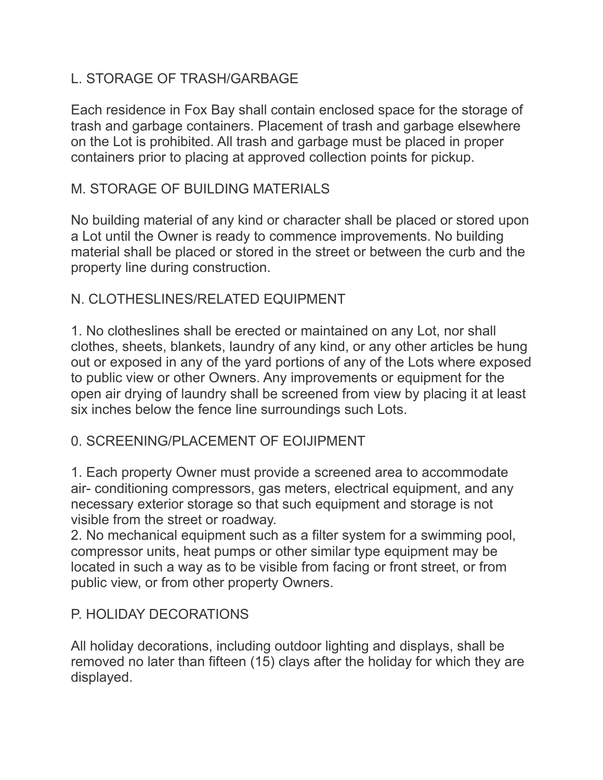### L. STORAGE OF TRASH/GARBAGE

Each residence in Fox Bay shall contain enclosed space for the storage of trash and garbage containers. Placement of trash and garbage elsewhere on the Lot is prohibited. All trash and garbage must be placed in proper containers prior to placing at approved collection points for pickup.

#### M. STORAGE OF BUILDING MATERIALS

No building material of any kind or character shall be placed or stored upon a Lot until the Owner is ready to commence improvements. No building material shall be placed or stored in the street or between the curb and the property line during construction.

#### N. CLOTHESLINES/RELATED FOUIPMENT

1. No clotheslines shall be erected or maintained on any Lot, nor shall clothes, sheets, blankets, laundry of any kind, or any other articles be hung out or exposed in any of the yard portions of any of the Lots where exposed to public view or other Owners. Any improvements or equipment for the open air drying of laundry shall be screened from view by placing it at least six inches below the fence line surroundings such Lots.

#### 0. SCREENING/PLACEMENT OF EOIJIPMENT

1. Each property Owner must provide a screened area to accommodate air- conditioning compressors, gas meters, electrical equipment, and any necessary exterior storage so that such equipment and storage is not visible from the street or roadway.

2. No mechanical equipment such as a filter system for a swimming pool, compressor units, heat pumps or other similar type equipment may be located in such a way as to be visible from facing or front street, or from public view, or from other property Owners.

### P. HOLIDAY DECORATIONS

All holiday decorations, including outdoor lighting and displays, shall be removed no later than fifteen (15) clays after the holiday for which they are displayed.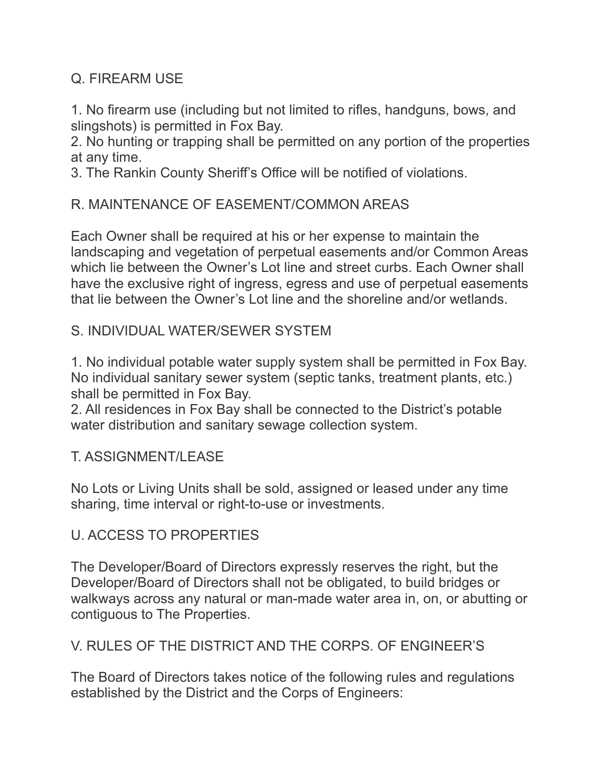#### Q. FIREARM USE

1. No firearm use (including but not limited to rifles, handguns, bows, and slingshots) is permitted in Fox Bay.

2. No hunting or trapping shall be permitted on any portion of the properties at any time.

3. The Rankin County Sheriff's Office will be notified of violations.

#### R. MAINTENANCE OF EASEMENT/COMMON AREAS

Each Owner shall be required at his or her expense to maintain the landscaping and vegetation of perpetual easements and/or Common Areas which lie between the Owner's Lot line and street curbs. Each Owner shall have the exclusive right of ingress, egress and use of perpetual easements that lie between the Owner's Lot line and the shoreline and/or wetlands.

#### S. INDIVIDUAL WATER/SEWER SYSTEM

1. No individual potable water supply system shall be permitted in Fox Bay. No individual sanitary sewer system (septic tanks, treatment plants, etc.) shall be permitted in Fox Bay.

2. All residences in Fox Bay shall be connected to the District's potable water distribution and sanitary sewage collection system.

#### T. ASSIGNMENT/LEASE

No Lots or Living Units shall be sold, assigned or leased under any time sharing, time interval or right-to-use or investments.

#### U. ACCESS TO PROPERTIES

The Developer/Board of Directors expressly reserves the right, but the Developer/Board of Directors shall not be obligated, to build bridges or walkways across any natural or man-made water area in, on, or abutting or contiguous to The Properties.

#### V. RULES OF THE DISTRICT AND THE CORPS. OF ENGINEER'S

The Board of Directors takes notice of the following rules and regulations established by the District and the Corps of Engineers: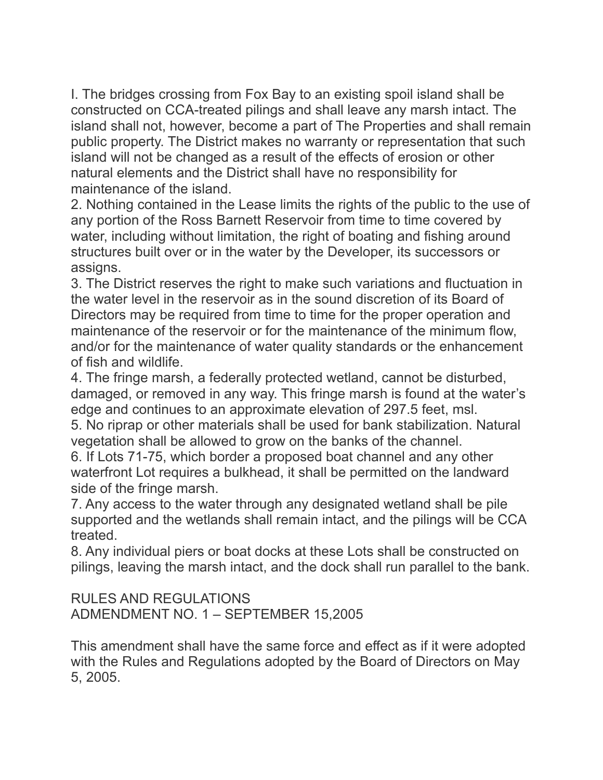I. The bridges crossing from Fox Bay to an existing spoil island shall be constructed on CCA-treated pilings and shall leave any marsh intact. The island shall not, however, become a part of The Properties and shall remain public property. The District makes no warranty or representation that such island will not be changed as a result of the effects of erosion or other natural elements and the District shall have no responsibility for maintenance of the island.

2. Nothing contained in the Lease limits the rights of the public to the use of any portion of the Ross Barnett Reservoir from time to time covered by water, including without limitation, the right of boating and fishing around structures built over or in the water by the Developer, its successors or assigns.

3. The District reserves the right to make such variations and fluctuation in the water level in the reservoir as in the sound discretion of its Board of Directors may be required from time to time for the proper operation and maintenance of the reservoir or for the maintenance of the minimum flow, and/or for the maintenance of water quality standards or the enhancement of fish and wildlife.

4. The fringe marsh, a federally protected wetland, cannot be disturbed, damaged, or removed in any way. This fringe marsh is found at the water's edge and continues to an approximate elevation of 297.5 feet, msl.

5. No riprap or other materials shall be used for bank stabilization. Natural vegetation shall be allowed to grow on the banks of the channel.

6. If Lots 71-75, which border a proposed boat channel and any other waterfront Lot requires a bulkhead, it shall be permitted on the landward side of the fringe marsh.

7. Any access to the water through any designated wetland shall be pile supported and the wetlands shall remain intact, and the pilings will be CCA treated.

8. Any individual piers or boat docks at these Lots shall be constructed on pilings, leaving the marsh intact, and the dock shall run parallel to the bank.

RULES AND REGULATIONS ADMENDMENT NO. 1 – SEPTEMBER 15,2005

This amendment shall have the same force and effect as if it were adopted with the Rules and Regulations adopted by the Board of Directors on May 5, 2005.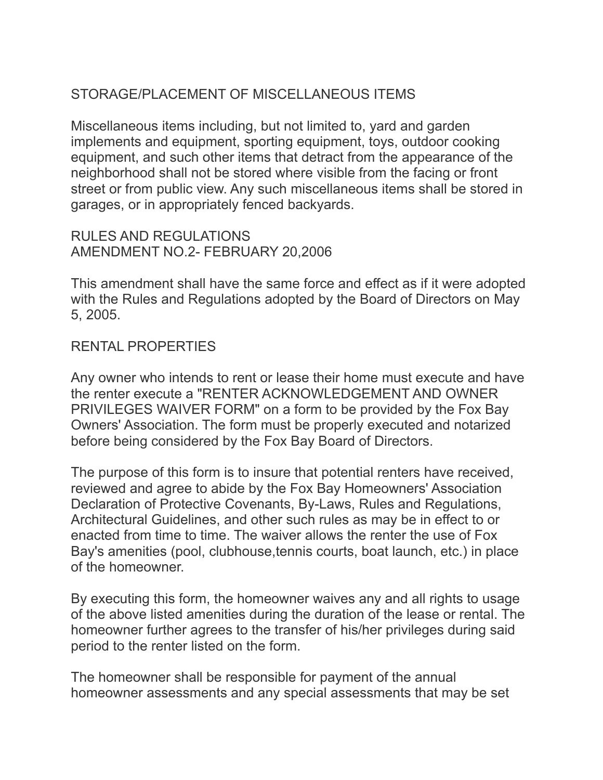### STORAGE/PLACEMENT OF MISCELLANEOUS ITEMS

Miscellaneous items including, but not limited to, yard and garden implements and equipment, sporting equipment, toys, outdoor cooking equipment, and such other items that detract from the appearance of the neighborhood shall not be stored where visible from the facing or front street or from public view. Any such miscellaneous items shall be stored in garages, or in appropriately fenced backyards.

RULES AND REGULATIONS AMENDMENT NO.2- FEBRUARY 20,2006

This amendment shall have the same force and effect as if it were adopted with the Rules and Regulations adopted by the Board of Directors on May 5, 2005.

#### RENTAL PROPERTIES

Any owner who intends to rent or lease their home must execute and have the renter execute a "RENTER ACKNOWLEDGEMENT AND OWNER PRIVILEGES WAIVER FORM" on a form to be provided by the Fox Bay Owners' Association. The form must be properly executed and notarized before being considered by the Fox Bay Board of Directors.

The purpose of this form is to insure that potential renters have received, reviewed and agree to abide by the Fox Bay Homeowners' Association Declaration of Protective Covenants, By-Laws, Rules and Regulations, Architectural Guidelines, and other such rules as may be in effect to or enacted from time to time. The waiver allows the renter the use of Fox Bay's amenities (pool, clubhouse,tennis courts, boat launch, etc.) in place of the homeowner.

By executing this form, the homeowner waives any and all rights to usage of the above listed amenities during the duration of the lease or rental. The homeowner further agrees to the transfer of his/her privileges during said period to the renter listed on the form.

The homeowner shall be responsible for payment of the annual homeowner assessments and any special assessments that may be set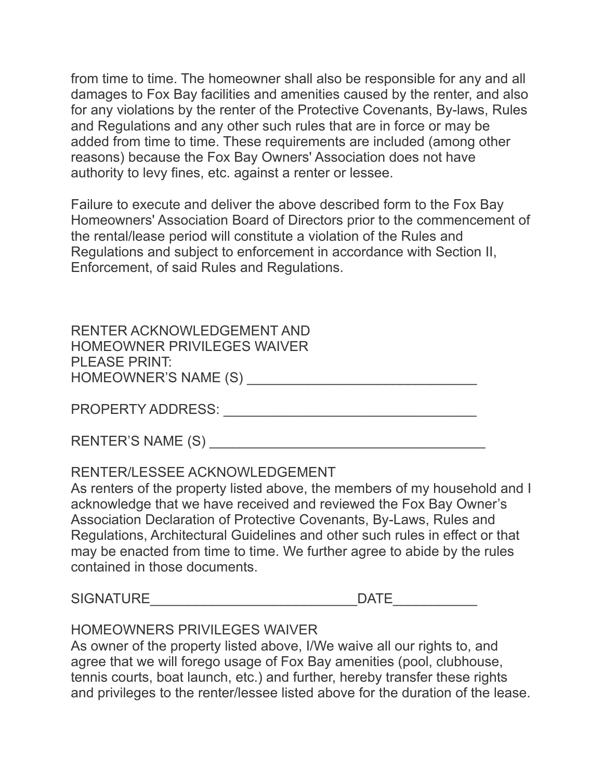from time to time. The homeowner shall also be responsible for any and all damages to Fox Bay facilities and amenities caused by the renter, and also for any violations by the renter of the Protective Covenants, By-laws, Rules and Regulations and any other such rules that are in force or may be added from time to time. These requirements are included (among other reasons) because the Fox Bay Owners' Association does not have authority to levy fines, etc. against a renter or lessee.

Failure to execute and deliver the above described form to the Fox Bay Homeowners' Association Board of Directors prior to the commencement of the rental/lease period will constitute a violation of the Rules and Regulations and subject to enforcement in accordance with Section II, Enforcement, of said Rules and Regulations.

RENTER ACKNOWLEDGEMENT AND HOMEOWNER PRIVILEGES WAIVER PLEASE PRINT: HOMEOWNER'S NAME (S) \_\_\_\_\_\_\_\_\_\_\_\_\_\_\_\_\_\_\_\_\_\_\_\_\_\_\_\_\_\_

PROPERTY ADDRESS: \_\_\_\_\_\_\_\_\_\_\_\_\_\_\_\_\_\_\_\_\_\_\_\_\_\_\_\_\_\_\_\_\_

| <b>RENTER'S NAME (S)</b> |  |
|--------------------------|--|
|--------------------------|--|

#### RENTER/LESSEE ACKNOWLEDGEMENT

As renters of the property listed above, the members of my household and I acknowledge that we have received and reviewed the Fox Bay Owner's Association Declaration of Protective Covenants, By-Laws, Rules and Regulations, Architectural Guidelines and other such rules in effect or that may be enacted from time to time. We further agree to abide by the rules contained in those documents.

SIGNATURE DATE

#### HOMEOWNERS PRIVILEGES WAIVER

As owner of the property listed above, I/We waive all our rights to, and agree that we will forego usage of Fox Bay amenities (pool, clubhouse, tennis courts, boat launch, etc.) and further, hereby transfer these rights and privileges to the renter/lessee listed above for the duration of the lease.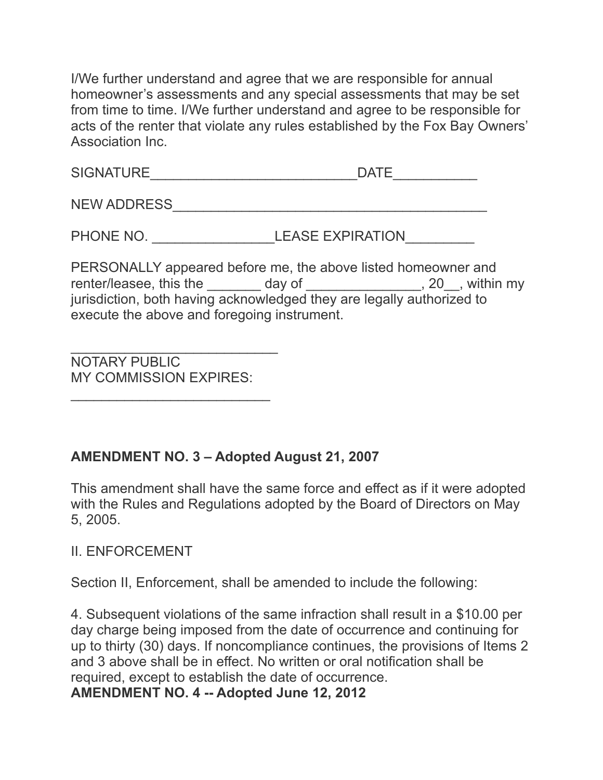I/We further understand and agree that we are responsible for annual homeowner's assessments and any special assessments that may be set from time to time. I/We further understand and agree to be responsible for acts of the renter that violate any rules established by the Fox Bay Owners' Association Inc.

| <b>SIGNATURE</b> |  |
|------------------|--|
|                  |  |

NEW ADDRESS\_\_\_\_\_\_\_\_\_\_\_\_\_\_\_\_\_\_\_\_\_\_\_\_\_\_\_\_\_\_\_\_\_\_\_\_\_\_\_\_\_

PHONE NO. \_\_\_\_\_\_\_\_\_\_\_\_\_\_\_\_LEASE EXPIRATION\_\_\_\_\_\_\_\_\_

PERSONALLY appeared before me, the above listed homeowner and renter/leasee, this the \_\_\_\_\_\_\_\_ day of \_\_\_\_\_\_\_\_\_\_\_\_\_\_\_, 20\_\_, within my jurisdiction, both having acknowledged they are legally authorized to execute the above and foregoing instrument.

 $\overline{\phantom{a}}$  , and the set of the set of the set of the set of the set of the set of the set of the set of the set of the set of the set of the set of the set of the set of the set of the set of the set of the set of the s NOTARY PUBLIC MY COMMISSION EXPIRES:

 $\overline{\phantom{a}}$  , and the set of the set of the set of the set of the set of the set of the set of the set of the set of the set of the set of the set of the set of the set of the set of the set of the set of the set of the s

#### **AMENDMENT NO. 3 – Adopted August 21, 2007**

This amendment shall have the same force and effect as if it were adopted with the Rules and Regulations adopted by the Board of Directors on May 5, 2005.

II. ENFORCEMENT

Section II, Enforcement, shall be amended to include the following:

4. Subsequent violations of the same infraction shall result in a \$10.00 per day charge being imposed from the date of occurrence and continuing for up to thirty (30) days. If noncompliance continues, the provisions of Items 2 and 3 above shall be in effect. No written or oral notification shall be required, except to establish the date of occurrence.

**AMENDMENT NO. 4 -- Adopted June 12, 2012**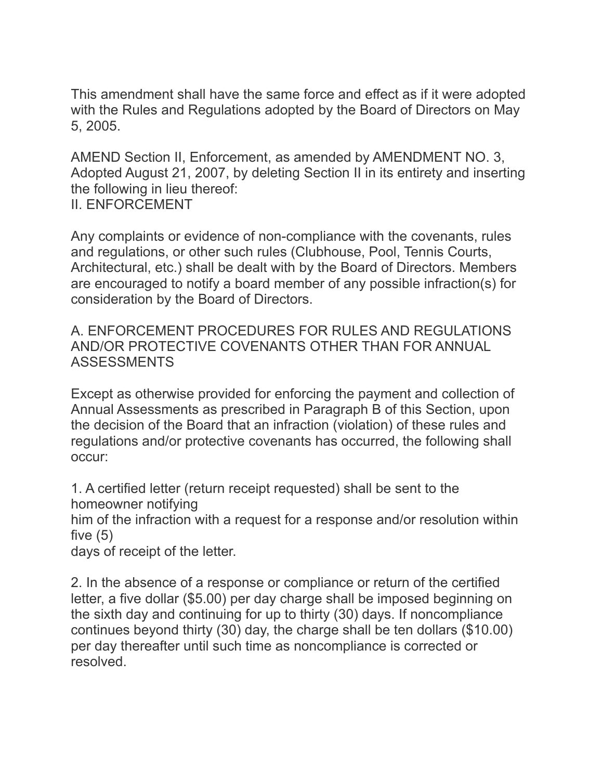This amendment shall have the same force and effect as if it were adopted with the Rules and Regulations adopted by the Board of Directors on May 5, 2005.

AMEND Section II, Enforcement, as amended by AMENDMENT NO. 3, Adopted August 21, 2007, by deleting Section II in its entirety and inserting the following in lieu thereof: II. ENFORCEMENT

Any complaints or evidence of non-compliance with the covenants, rules and regulations, or other such rules (Clubhouse, Pool, Tennis Courts, Architectural, etc.) shall be dealt with by the Board of Directors. Members are encouraged to notify a board member of any possible infraction(s) for consideration by the Board of Directors.

A. ENFORCEMENT PROCEDURES FOR RULES AND REGULATIONS AND/OR PROTECTIVE COVENANTS OTHER THAN FOR ANNUAL ASSESSMENTS

Except as otherwise provided for enforcing the payment and collection of Annual Assessments as prescribed in Paragraph B of this Section, upon the decision of the Board that an infraction (violation) of these rules and regulations and/or protective covenants has occurred, the following shall occur:

1. A certified letter (return receipt requested) shall be sent to the homeowner notifying

him of the infraction with a request for a response and/or resolution within five  $(5)$ 

days of receipt of the letter.

2. In the absence of a response or compliance or return of the certified letter, a five dollar (\$5.00) per day charge shall be imposed beginning on the sixth day and continuing for up to thirty (30) days. If noncompliance continues beyond thirty (30) day, the charge shall be ten dollars (\$10.00) per day thereafter until such time as noncompliance is corrected or resolved.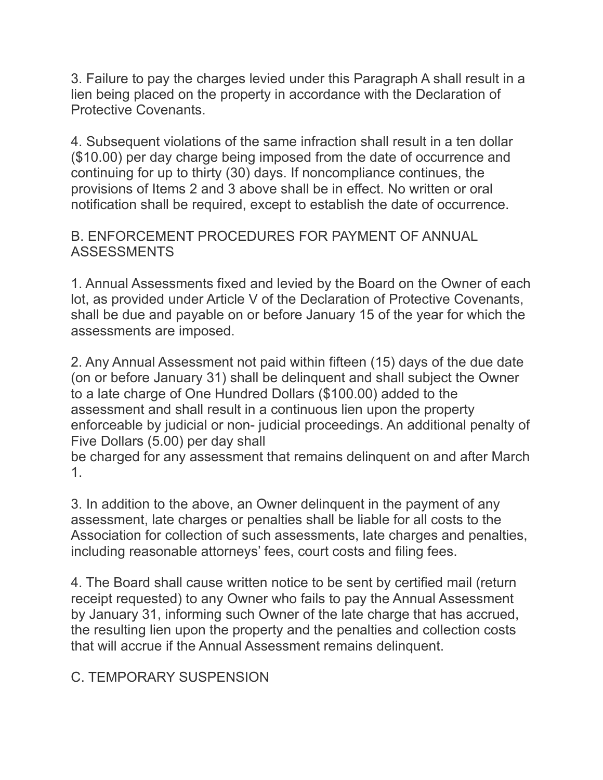3. Failure to pay the charges levied under this Paragraph A shall result in a lien being placed on the property in accordance with the Declaration of Protective Covenants.

4. Subsequent violations of the same infraction shall result in a ten dollar (\$10.00) per day charge being imposed from the date of occurrence and continuing for up to thirty (30) days. If noncompliance continues, the provisions of Items 2 and 3 above shall be in effect. No written or oral notification shall be required, except to establish the date of occurrence.

#### B. ENFORCEMENT PROCEDURES FOR PAYMENT OF ANNUAL ASSESSMENTS

1. Annual Assessments fixed and levied by the Board on the Owner of each lot, as provided under Article V of the Declaration of Protective Covenants, shall be due and payable on or before January 15 of the year for which the assessments are imposed.

2. Any Annual Assessment not paid within fifteen (15) days of the due date (on or before January 31) shall be delinquent and shall subject the Owner to a late charge of One Hundred Dollars (\$100.00) added to the assessment and shall result in a continuous lien upon the property enforceable by judicial or non- judicial proceedings. An additional penalty of Five Dollars (5.00) per day shall

be charged for any assessment that remains delinquent on and after March 1.

3. In addition to the above, an Owner delinquent in the payment of any assessment, late charges or penalties shall be liable for all costs to the Association for collection of such assessments, late charges and penalties, including reasonable attorneys' fees, court costs and filing fees.

4. The Board shall cause written notice to be sent by certified mail (return receipt requested) to any Owner who fails to pay the Annual Assessment by January 31, informing such Owner of the late charge that has accrued, the resulting lien upon the property and the penalties and collection costs that will accrue if the Annual Assessment remains delinquent.

### C. TEMPORARY SUSPENSION